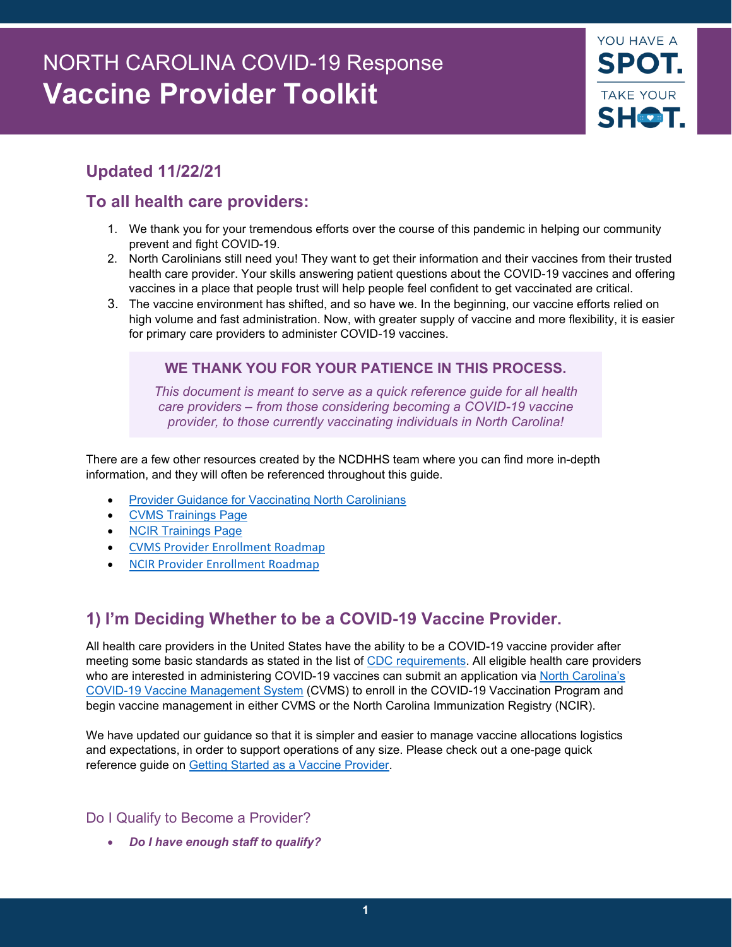# NORTH CAROLINA COVID-19 Response **Vaccine Provider Toolkit**



# **Updated 11/22/21**

# **To all health care providers:**

- 1. We thank you for your tremendous efforts over the course of this pandemic in helping our community prevent and fight COVID-19.
- 2. North Carolinians still need you! They want to get their information and their vaccines from their trusted health care provider. Your skills answering patient questions about the COVID-19 vaccines and offering vaccines in a place that people trust will help people feel confident to get vaccinated are critical.
- 3. The vaccine environment has shifted, and so have we. In the beginning, our vaccine efforts relied on high volume and fast administration. Now, with greater supply of vaccine and more flexibility, it is easier for primary care providers to administer COVID-19 vaccines.

# **WE THANK YOU FOR YOUR PATIENCE IN THIS PROCESS.**

*This document is meant to serve as a quick reference guide for all health care providers – from those considering becoming a COVID-19 vaccine provider, to those currently vaccinating individuals in North Carolina!*

There are a few other resources created by the NCDHHS team where you can find more in-depth information, and they will often be referenced throughout this guide.

- **[Provider Guidance for Vaccinating North Carolinians](https://covid19.ncdhhs.gov/vaccines/providers)**
- [CVMS Trainings Page](https://covid19.ncdhhs.gov/vaccines/providers/cvms-user-guides-recorded-trainings-and-upcoming-trainings)
- **[NCIR Trainings Page](https://covid19.ncdhhs.gov/ncir-user-guides-and-recorded-trainings)**
- [CVMS Provider Enrollment Roadmap](https://covid19.ncdhhs.gov/media/3602/download?attachment)
- [NCIR Provider Enrollment Roadmap](https://covid19.ncdhhs.gov/media/3601/download?attachment)

# **1) I'm Deciding Whether to be a COVID-19 Vaccine Provider.**

All health care providers in the United States have the ability to be a COVID-19 vaccine provider after meeting some basic standards as stated in the list of [CDC requirements.](https://www.cdc.gov/vaccines/covid-19/vaccination-provider-support.html) All eligible health care providers who are interested in administering COVID-19 vaccines can submit an application via North Carolina's [COVID-19 Vaccine Management System](https://covid19.ncdhhs.gov/vaccines/info-health-care-providers/covid-19-vaccine-management-system-cvms) (CVMS) to enroll in the COVID-19 Vaccination Program and begin vaccine management in either CVMS or the North Carolina Immunization Registry (NCIR).

We have updated our guidance so that it is simpler and easier to manage vaccine allocations logistics and expectations, in order to support operations of any size. Please check out a one-page quick reference guide on [Getting Started as a Vaccine Provider.](https://covid19.ncdhhs.gov/media/2667/open)

# Do I Qualify to Become a Provider?

• *Do I have enough staff to qualify?*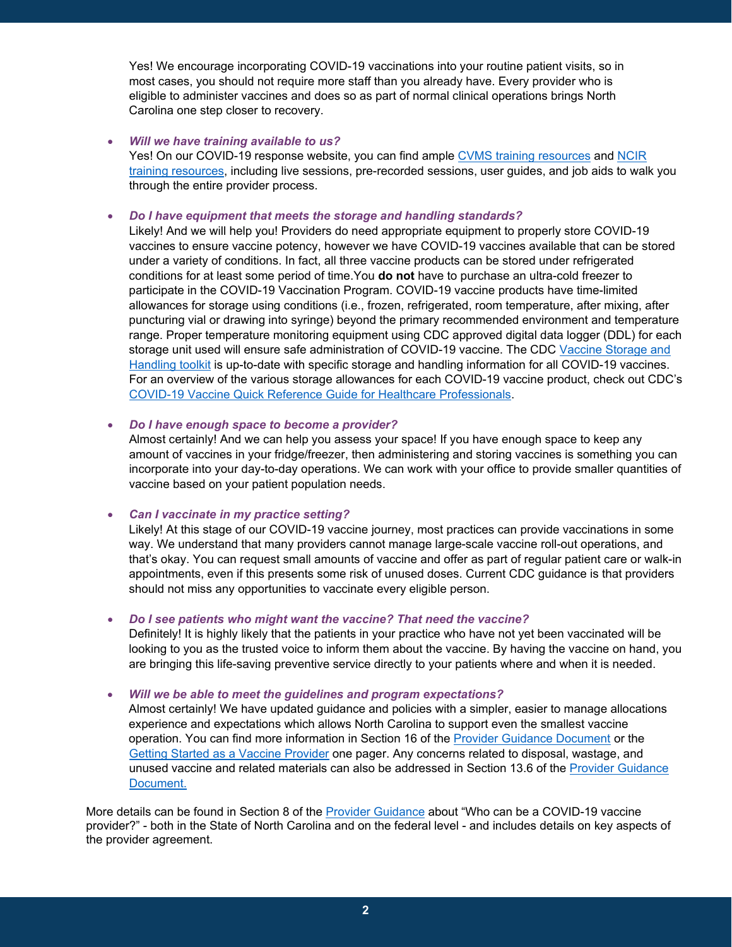Yes! We encourage incorporating COVID-19 vaccinations into your routine patient visits, so in most cases, you should not require more staff than you already have. Every provider who is eligible to administer vaccines and does so as part of normal clinical operations brings North Carolina one step closer to recovery.

#### • *Will we have training available to us?*

Yes! On our COVID-19 response website, you can find ample [CVMS training resources](https://covid19.ncdhhs.gov/vaccines/providers/cvms-user-guides-and-recorded-trainings#user-guides) and [NCIR](https://covid19.ncdhhs.gov/ncir-user-guides-and-recorded-trainings)  [training resources,](https://covid19.ncdhhs.gov/ncir-user-guides-and-recorded-trainings) including live sessions, pre-recorded sessions, user guides, and job aids to walk you through the entire provider process.

#### • *Do I have equipment that meets the storage and handling standards?*

Likely! And we will help you! Providers do need appropriate equipment to properly store COVID-19 vaccines to ensure vaccine potency, however we have COVID-19 vaccines available that can be stored under a variety of conditions. In fact, all three vaccine products can be stored under refrigerated conditions for at least some period of time.You **do not** have to purchase an ultra-cold freezer to participate in the COVID-19 Vaccination Program. COVID-19 vaccine products have time-limited allowances for storage using conditions (i.e., frozen, refrigerated, room temperature, after mixing, after puncturing vial or drawing into syringe) beyond the primary recommended environment and temperature range. Proper temperature monitoring equipment using CDC approved digital data logger (DDL) for each storage unit used will ensure safe administration of COVID-19 vaccine. The CDC Vaccine Storage and [Handling toolkit](https://www.cdc.gov/vaccines/hcp/admin/storage/toolkit/index.html) is up-to-date with specific storage and handling information for all COVID-19 vaccines. For an overview of the various storage allowances for each COVID-19 vaccine product, check out CDC's [COVID-19 Vaccine Quick Reference Guide for Healthcare Professionals.](https://www.cdc.gov/vaccines/covid-19/downloads/covid19-vaccine-quick-reference-guide-2pages.pdf)

• *Do I have enough space to become a provider?* 

Almost certainly! And we can help you assess your space! If you have enough space to keep any amount of vaccines in your fridge/freezer, then administering and storing vaccines is something you can incorporate into your day-to-day operations. We can work with your office to provide smaller quantities of vaccine based on your patient population needs.

#### • *Can I vaccinate in my practice setting?*

Likely! At this stage of our COVID-19 vaccine journey, most practices can provide vaccinations in some way. We understand that many providers cannot manage large-scale vaccine roll-out operations, and that's okay. You can request small amounts of vaccine and offer as part of regular patient care or walk-in appointments, even if this presents some risk of unused doses. Current CDC guidance is that providers should not miss any opportunities to vaccinate every eligible person.

#### • *Do I see patients who might want the vaccine? That need the vaccine?*

Definitely! It is highly likely that the patients in your practice who have not yet been vaccinated will be looking to you as the trusted voice to inform them about the vaccine. By having the vaccine on hand, you are bringing this life-saving preventive service directly to your patients where and when it is needed.

#### • *Will we be able to meet the guidelines and program expectations?*

Almost certainly! We have updated guidance and policies with a simpler, easier to manage allocations experience and expectations which allows North Carolina to support even the smallest vaccine operation. You can find more information in Section 16 of the [Provider Guidance](https://covid19.ncdhhs.gov/media/1233/download) Document or the [Getting Started as a Vaccine Provider](https://covid19.ncdhhs.gov/media/2667/open) one pager. Any concerns related to disposal, wastage, and unused vaccine and related materials can also be addressed in Section 13.6 of the [Provider Guidance](https://covid19.ncdhhs.gov/media/1233/download)  [Document.](https://covid19.ncdhhs.gov/media/1233/download)

More details can be found in Section 8 of the [Provider Guidance](https://covid19.ncdhhs.gov/media/1233/download) about "Who can be a COVID-19 vaccine provider?" - both in the State of North Carolina and on the federal level - and includes details on key aspects of the provider agreement.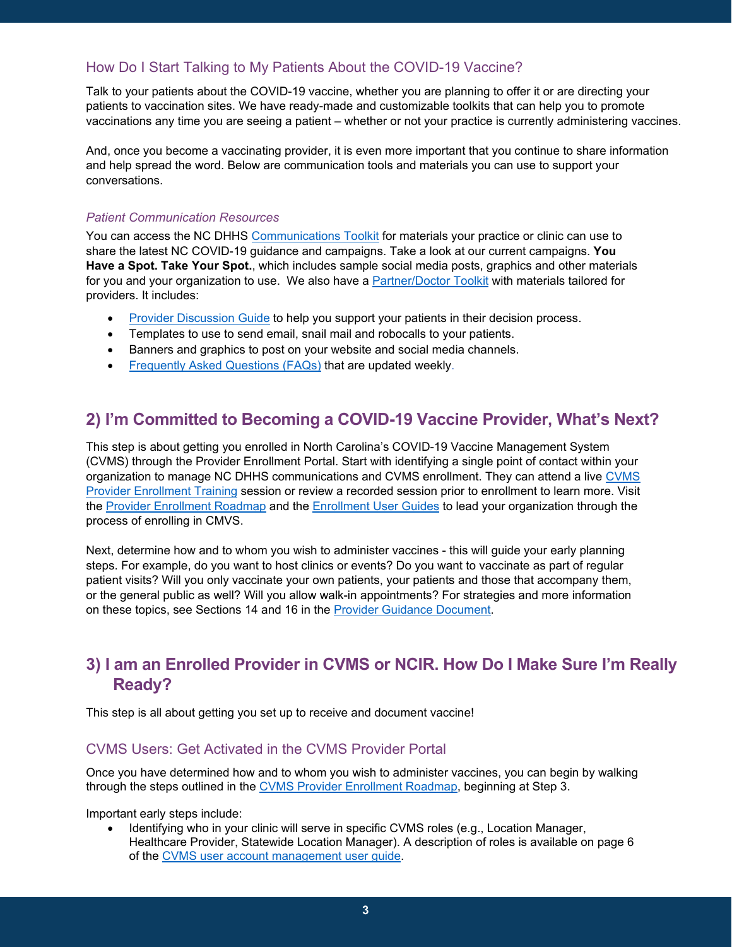# How Do I Start Talking to My Patients About the COVID-19 Vaccine?

Talk to your patients about the COVID-19 vaccine, whether you are planning to offer it or are directing your patients to vaccination sites. We have ready-made and customizable toolkits that can help you to promote vaccinations any time you are seeing a patient – whether or not your practice is currently administering vaccines.

And, once you become a vaccinating provider, it is even more important that you continue to share information and help spread the word. Below are communication tools and materials you can use to support your conversations.

#### *Patient Communication Resources*

You can access the NC DHHS [Communications Toolkit](https://covid19.ncdhhs.gov/vaccines/covid-19-vaccine-communications-toolkit) for materials your practice or clinic can use to share the latest NC COVID-19 guidance and campaigns. Take a look at our current campaigns. **You Have a Spot. Take Your Spot.**, which includes sample social media posts, graphics and other materials for you and your organization to use. We also have a [Partner/Doctor Toolkit](https://thesocialpresskit.com/you-have-a-spot-take-your-shot#bring-summer-back-partner-toolkit--doctor-toolkit) with materials tailored for providers. It includes:

- [Provider Discussion Guide](https://covid19.ncdhhs.gov/media/2737/open) to help you support your patients in their decision process.
- Templates to use to send email, snail mail and robocalls to your patients.
- Banners and graphics to post on your website and social media channels.
- [Frequently Asked Questions \(FAQs\)](https://covid19.ncdhhs.gov/vaccines/frequently-asked-questions-about-covid-19-vaccinations) that are updated weekly.

# **2) I'm Committed to Becoming a COVID-19 Vaccine Provider, What's Next?**

This step is about getting you enrolled in North Carolina's COVID-19 Vaccine Management System (CVMS) through the Provider Enrollment Portal. Start with identifying a single point of contact within your organization to manage NC DHHS communications and CVMS enrollment. They can attend a live [CVMS](https://covid19.ncdhhs.gov/vaccines/providers/cvms-user-guides-recorded-trainings-and-upcoming-trainings)  [Provider Enrollment Training](https://covid19.ncdhhs.gov/vaccines/providers/cvms-user-guides-recorded-trainings-and-upcoming-trainings) session or review a recorded session prior to enrollment to learn more. Visit the [Provider Enrollment Roadmap](https://covid19.ncdhhs.gov/media/3178/download?attachment) and the [Enrollment User Guides](https://covid19.ncdhhs.gov/vaccines/providers/cvms-user-guides-recorded-trainings-and-upcoming-trainings) to lead your organization through the process of enrolling in CMVS.

Next, determine how and to whom you wish to administer vaccines - this will guide your early planning steps. For example, do you want to host clinics or events? Do you want to vaccinate as part of regular patient visits? Will you only vaccinate your own patients, your patients and those that accompany them, or the general public as well? Will you allow walk-in appointments? For strategies and more information on these topics, see Sections 14 and 16 in the [Provider Guidance](https://covid19.ncdhhs.gov/media/1233/download) Document.

# **3) I am an Enrolled Provider in CVMS or NCIR. How Do I Make Sure I'm Really Ready?**

This step is all about getting you set up to receive and document vaccine!

# CVMS Users: Get Activated in the CVMS Provider Portal

Once you have determined how and to whom you wish to administer vaccines, you can begin by walking through the steps outlined in the [CVMS Provider Enrollment Roadmap,](https://covid19.ncdhhs.gov/media/3178/download?attachment) beginning at Step 3.

Important early steps include:

• Identifying who in your clinic will serve in specific CVMS roles (e.g., Location Manager, Healthcare Provider, Statewide Location Manager). A description of roles is available on page 6 of the [CVMS user account management user guide.](https://covid19.ncdhhs.gov/media/3234/download?attachment)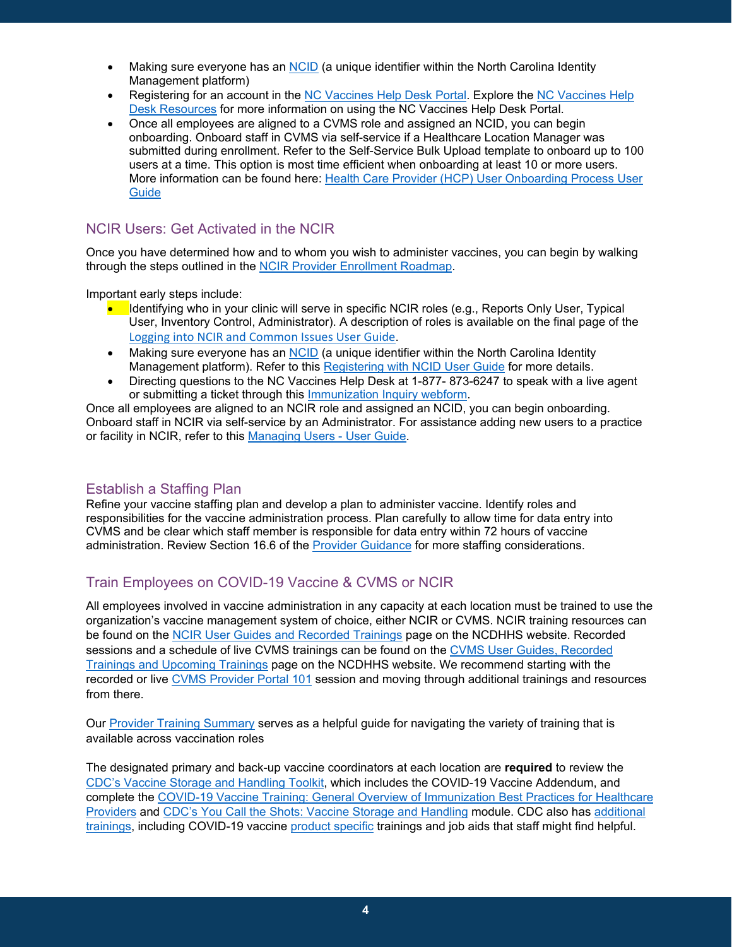- Making sure everyone has an [NCID](https://ncid.nc.gov/) (a unique identifier within the North Carolina Identity Management platform)
- Registering for an account in the [NC Vaccines Help Desk Portal.](https://ncgov.servicenowservices.com/csm_vaccine) Explore the [NC Vaccines](https://covid19.ncdhhs.gov/vaccines/providers/cvms-user-guides-and-recorded-trainings#cvms-help-desk-resources) Help [Desk Resources](https://covid19.ncdhhs.gov/vaccines/providers/cvms-user-guides-and-recorded-trainings#cvms-help-desk-resources) for more information on using the NC Vaccines Help Desk Portal.
- Once all employees are aligned to a CVMS role and assigned an NCID, you can begin onboarding. Onboard staff in CVMS via self-service if a Healthcare Location Manager was submitted during enrollment. Refer to the Self-Service Bulk Upload template to onboard up to 100 users at a time. This option is most time efficient when onboarding at least 10 or more users. More information can be found here: Health Care Provider (HCP) [User Onboarding Process User](https://covid19.ncdhhs.gov/media/3234/download?attachment)  **[Guide](https://covid19.ncdhhs.gov/media/3234/download?attachment)**

# NCIR Users: Get Activated in the NCIR

Once you have determined how and to whom you wish to administer vaccines, you can begin by walking through the steps outlined in the [NCIR Provider Enrollment Roadmap.](https://covid19.ncdhhs.gov/media/3521/download?attachment)

Important early steps include:

- Identifying who in your clinic will serve in specific NCIR roles (e.g., Reports Only User, Typical User, Inventory Control, Administrator). A description of roles is available on the final page of the [Logging into NCIR and Common Issues User Guide](https://covid19.ncdhhs.gov/media/3573/download?attachment).
- Making sure everyone has an [NCID](https://ncid.nc.gov/) (a unique identifier within the North Carolina Identity Management platform). Refer to this [Registering with NCID User Guide](https://covid19.ncdhhs.gov/media/3572/download?attachment) for more details.
- Directing questions to the NC Vaccines Help Desk at 1-877- 873-6247 to speak with a live agent or submitting a ticket through this [Immunization Inquiry webform.](https://ncgov.servicenowservices.com/csm_vaccine?id=immunizations&sys_id=69f035b11b037c9099510f6fe54bcbee)

Once all employees are aligned to an NCIR role and assigned an NCID, you can begin onboarding. Onboard staff in NCIR via self-service by an Administrator. For assistance adding new users to a practice or facility in NCIR, refer to this [Managing Users -](https://covid19.ncdhhs.gov/media/3579/download?attachment) User Guide.

# Establish a Staffing Plan

Refine your vaccine staffing plan and develop a plan to administer vaccine. Identify roles and responsibilities for the vaccine administration process. Plan carefully to allow time for data entry into CVMS and be clear which staff member is responsible for data entry within 72 hours of vaccine administration. Review Section 16.6 of the [Provider Guidance](https://covid19.ncdhhs.gov/media/1233/download) for more staffing considerations.

# Train Employees on COVID-19 Vaccine & CVMS or NCIR

All employees involved in vaccine administration in any capacity at each location must be trained to use the organization's vaccine management system of choice, either NCIR or CVMS. NCIR training resources can be found on the [NCIR User Guides and Recorded Trainings](https://covid19.ncdhhs.gov/vaccines/info-health-care-providers/ncir-user-guides-and-recorded-trainings) page on the NCDHHS website. Recorded sessions and a schedule of live CVMS trainings can be found on the [CVMS User Guides, Recorded](https://covid19.ncdhhs.gov/vaccines/providers/cvms-user-guides-recorded-trainings-and-upcoming-trainings)  [Trainings and Upcoming Trainings](https://covid19.ncdhhs.gov/vaccines/providers/cvms-user-guides-recorded-trainings-and-upcoming-trainings) page on the NCDHHS website. We recommend starting with the recorded or live [CVMS Provider Portal 101](https://youtu.be/3LiKyr_lh9Y) session and moving through additional trainings and resources from there.

Our [Provider Training Summary](https://covid19.ncdhhs.gov/media/3177/download?attachment) serves as a helpful guide for navigating the variety of training that is available across vaccination roles

The designated primary and back-up vaccine coordinators at each location are **required** to review the [CDC's Vaccine Storage and Handling Toolkit,](https://www.cdc.gov/vaccines/hcp/admin/storage/toolkit/index.html) which includes the COVID-19 Vaccine Addendum, and complete the [COVID-19 Vaccine Training: General Overview of Immunization Best Practices for Healthcare](https://www2.cdc.gov/vaccines/ed/covid19/SHVA/index.asp)  [Providers](https://www2.cdc.gov/vaccines/ed/covid19/SHVA/index.asp) and [CDC's You Call the Shots: Vaccine Storage and Handling](https://www2a.cdc.gov/nip/isd/ycts/mod1/courses/sh/ce.asp) module. CDC also has [additional](https://www.cdc.gov/vaccines/covid-19/training-education/index.html)  [trainings,](https://www.cdc.gov/vaccines/covid-19/training-education/index.html) including COVID-19 vaccine [product specific](https://www.cdc.gov/vaccines/covid-19/info-by-product/index.html) trainings and job aids that staff might find helpful.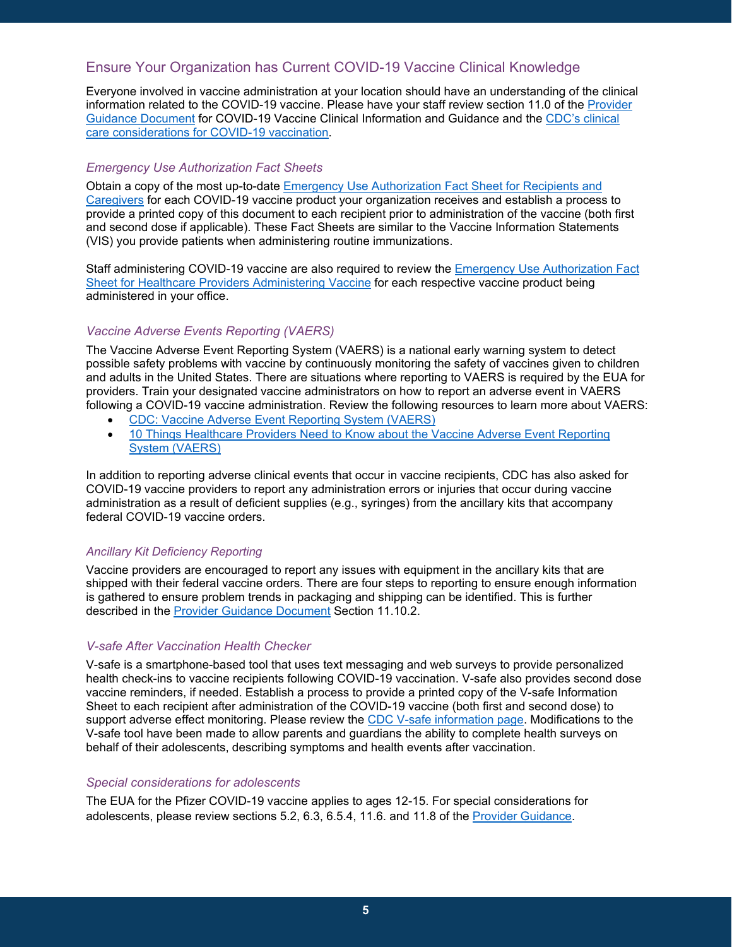# Ensure Your Organization has Current COVID-19 Vaccine Clinical Knowledge

Everyone involved in vaccine administration at your location should have an understanding of the clinical information related to the COVID-19 vaccine. Please have your staff review section 11.0 of the [Provider](https://covid19.ncdhhs.gov/media/1233/download)  [Guidance Document](https://covid19.ncdhhs.gov/media/1233/download) for COVID-19 Vaccine Clinical Information and Guidance and the [CDC's clinical](https://www.cdc.gov/vaccines/covid-19/clinical-considerations/index.html)  [care considerations for COVID-19 vaccination.](https://www.cdc.gov/vaccines/covid-19/clinical-considerations/index.html)

#### *Emergency Use Authorization Fact Sheets*

Obtain a copy of the most up-to-date [Emergency Use Authorization Fact Sheet](https://www.cdc.gov/vaccines/covid-19/eua/index.html) for Recipients and [Caregivers](https://www.cdc.gov/vaccines/covid-19/eua/index.html) for each COVID-19 vaccine product your organization receives and establish a process to provide a printed copy of this document to each recipient prior to administration of the vaccine (both first and second dose if applicable). These Fact Sheets are similar to the Vaccine Information Statements (VIS) you provide patients when administering routine immunizations.

Staff administering COVID-19 vaccine are also required to review the [Emergency Use Authorization Fact](https://www.fda.gov/emergency-preparedness-and-response/mcm-legal-regulatory-and-policy-framework/emergency-use-authorization#vaccines)  Sheet [for Healthcare Providers](https://www.fda.gov/emergency-preparedness-and-response/mcm-legal-regulatory-and-policy-framework/emergency-use-authorization#vaccines) Administering Vaccine for each respective vaccine product being administered in your office.

#### *Vaccine Adverse Events Reporting (VAERS)*

The Vaccine Adverse Event Reporting System (VAERS) is a national early warning system to detect possible safety problems with vaccine by continuously monitoring the safety of vaccines given to children and adults in the United States. There are situations where reporting to VAERS is required by the EUA for providers. Train your designated vaccine administrators on how to report an adverse event in VAERS following a COVID-19 vaccine administration. Review the following resources to learn more about VAERS:

- [CDC: Vaccine Adverse Event Reporting System \(VAERS\)](https://www.cdc.gov/vaccinesafety/ensuringsafety/monitoring/vaers/index.html)
- 10 Things Healthcare Providers Need to Know about the Vaccine Adverse Event Reporting [System \(VAERS\)](https://www.cdc.gov/coronavirus/2019-ncov/downloads/vaccines/10-things-healthcare-providers-need-to-know-about-VAERS.pdf)

In addition to reporting adverse clinical events that occur in vaccine recipients, CDC has also asked for COVID-19 vaccine providers to report any administration errors or injuries that occur during vaccine administration as a result of deficient supplies (e.g., syringes) from the ancillary kits that accompany federal COVID-19 vaccine orders.

#### *Ancillary Kit Deficiency Reporting*

Vaccine providers are encouraged to report any issues with equipment in the ancillary kits that are shipped with their federal vaccine orders. There are four steps to reporting to ensure enough information is gathered to ensure problem trends in packaging and shipping can be identified. This is further described in the [Provider Guidance Document](https://covid19.ncdhhs.gov/media/1233/download) Section 11.10.2.

#### *V-safe After Vaccination Health Checker*

V-safe is a smartphone-based tool that uses text messaging and web surveys to provide personalized health check-ins to vaccine recipients following COVID-19 vaccination. V-safe also provides second dose vaccine reminders, if needed. Establish a process to provide a printed copy of the V-safe Information Sheet to each recipient after administration of the COVID-19 vaccine (both first and second dose) to support adverse effect monitoring. Please review the [CDC V-safe information page.](https://www.cdc.gov/coronavirus/2019-ncov/vaccines/safety/vsafe.html) Modifications to the V-safe tool have been made to allow parents and guardians the ability to complete health surveys on behalf of their adolescents, describing symptoms and health events after vaccination.

#### *Special considerations for adolescents*

The EUA for the Pfizer COVID-19 vaccine applies to ages 12-15. For special considerations for adolescents, please review sections 5.2, 6.3, 6.5.4, 11.6. and 11.8 of the [Provider Guidance.](https://covid19.ncdhhs.gov/media/1233/download)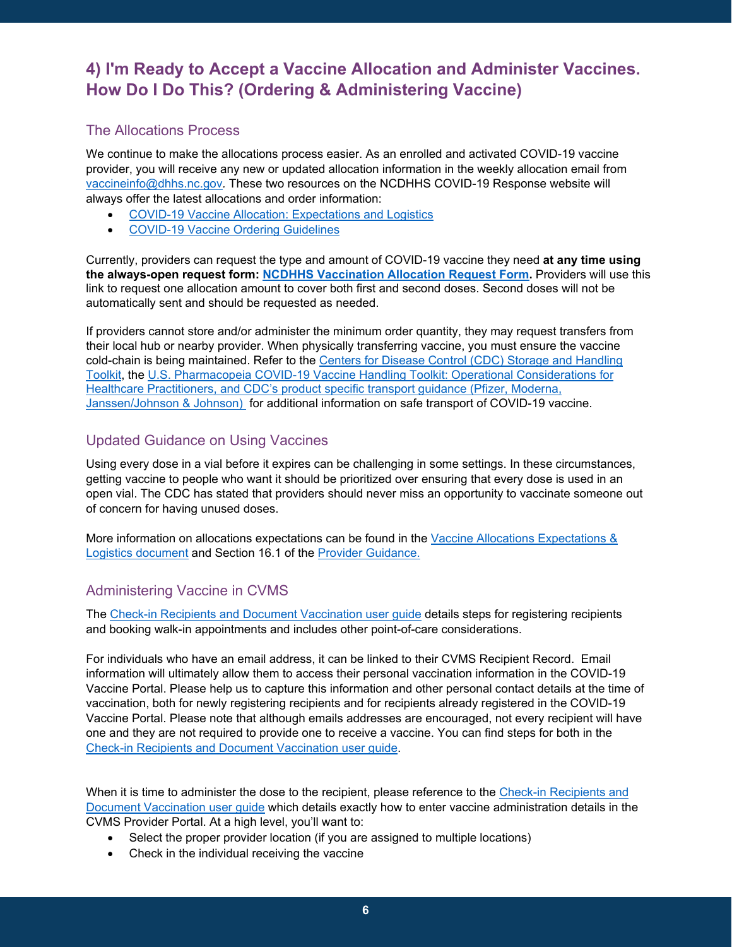# **4) I'm Ready to Accept a Vaccine Allocation and Administer Vaccines. How Do I Do This? (Ordering & Administering Vaccine)**

### The Allocations Process

We continue to make the allocations process easier. As an enrolled and activated COVID-19 vaccine provider, you will receive any new or updated allocation information in the weekly allocation email from [vaccineinfo@dhhs.nc.gov](mailto:vaccineinfo@dhhs.nc.gov)*.* These two resources on the NCDHHS COVID-19 Response website will always offer the latest allocations and order information:

- [COVID-19 Vaccine Allocation: Expectations and Logistics](https://covid19.ncdhhs.gov/media/3168/download?attachment)
- [COVID-19 Vaccine Ordering Guidelines](https://covid19.ncdhhs.gov/media/3323/download?attachment)

Currently, providers can request the type and amount of COVID-19 vaccine they need **at any time using the always-open request form: [NCDHHS Vaccination Allocation Request Form.](https://urldefense.com/v3/__https:/surveymax.dhhs.state.nc.us/TakeSurvey.aspx?SurveyID=98MI76m3__;!!HYmSToo!KcX0sBBuw1_9coYsCk85yv7t1oXvHJZ4DCXbHe9NzZ-wc8bUxNzB4T-kWApr62l3Ag2YA68A0SfaEw$)** Providers will use this link to request one allocation amount to cover both first and second doses. Second doses will not be automatically sent and should be requested as needed.

If providers cannot store and/or administer the minimum order quantity, they may request transfers from their local hub or nearby provider. When physically transferring vaccine, you must ensure the vaccine cold-chain is being maintained. Refer to the [Centers for Disease Control \(CDC\) Storage and Handling](https://urldefense.com/v3/__https:/www.cdc.gov/vaccines/hcp/admin/storage/toolkit/storage-handling-toolkit.pdf__;!!HYmSToo!KcX0sBBuw1_9coYsCk85yv7t1oXvHJZ4DCXbHe9NzZ-wc8bUxNzB4T-kWApr62l3Ag2YA697JH3zkA$)  [Toolkit,](https://urldefense.com/v3/__https:/www.cdc.gov/vaccines/hcp/admin/storage/toolkit/storage-handling-toolkit.pdf__;!!HYmSToo!KcX0sBBuw1_9coYsCk85yv7t1oXvHJZ4DCXbHe9NzZ-wc8bUxNzB4T-kWApr62l3Ag2YA697JH3zkA$) the [U.S. Pharmacopeia COVID-19 Vaccine Handling Toolkit: Operational Considerations for](https://urldefense.com/v3/__https:/www.usp.org/covid-19/vaccine-handling-toolkit__;!!HYmSToo!KcX0sBBuw1_9coYsCk85yv7t1oXvHJZ4DCXbHe9NzZ-wc8bUxNzB4T-kWApr62l3Ag2YA6-N1_IDTA$)  [Healthcare Practitioners,](https://urldefense.com/v3/__https:/www.usp.org/covid-19/vaccine-handling-toolkit__;!!HYmSToo!KcX0sBBuw1_9coYsCk85yv7t1oXvHJZ4DCXbHe9NzZ-wc8bUxNzB4T-kWApr62l3Ag2YA6-N1_IDTA$) and CDC's product specific transport [guidance](https://www.usp.org/covid-19/vaccine-handling-toolkit) [\(Pfizer,](https://www.cdc.gov/vaccines/covid-19/info-by-product/pfizer/downloads/pfizer-transporting-vaccine.pdf) [Moderna,](https://www.cdc.gov/vaccines/covid-19/info-by-product/moderna/downloads/Moderna-Vaccine-Transport.pdf) [Janssen/Johnson &](https://www.cdc.gov/vaccines/covid-19/info-by-product/janssen/downloads/janssen-transportation-guidance.pdf) Johnson) for additional information on safe transport of COVID-19 vaccine.

### Updated Guidance on Using Vaccines

Using every dose in a vial before it expires can be challenging in some settings. In these circumstances, getting vaccine to people who want it should be prioritized over ensuring that every dose is used in an open vial. The CDC has stated that providers should never miss an opportunity to vaccinate someone out of concern for having unused doses.

More information on allocations expectations can be found in the [Vaccine Allocations Expectations &](https://covid19.ncdhhs.gov/media/3168/download?attachment)  [Logistics document](https://covid19.ncdhhs.gov/media/3168/download?attachment) and Section 16.1 of the [Provider Guidance.](https://covid19.ncdhhs.gov/media/1233/download)

# Administering Vaccine in CVMS

The Check-in Recipients [and Document Vaccination](https://covid19.ncdhhs.gov/media/3307/download?attachment) user guide details steps for registering recipients and booking walk-in appointments and includes other point-of-care considerations.

For individuals who have an email address, it can be linked to their CVMS Recipient Record. Email information will ultimately allow them to access their personal vaccination information in the COVID-19 Vaccine Portal. Please help us to capture this information and other personal contact details at the time of vaccination, both for newly registering recipients and for recipients already registered in the COVID-19 Vaccine Portal. Please note that although emails addresses are encouraged, not every recipient will have one and they are not required to provide one to receive a vaccine. You can find steps for both in the Check-in Recipients [and Document Vaccination user guide.](https://covid19.ncdhhs.gov/media/3307/download?attachment)

When it is time to administer the dose to the recipient, please reference to the [Check-in Recipients](https://covid19.ncdhhs.gov/media/3307/download?attachment) and [Document Vaccination user guide](https://covid19.ncdhhs.gov/media/3307/download?attachment) which details exactly how to enter vaccine administration details in the CVMS Provider Portal. At a high level, you'll want to:

- Select the proper provider location (if you are assigned to multiple locations)
- Check in the individual receiving the vaccine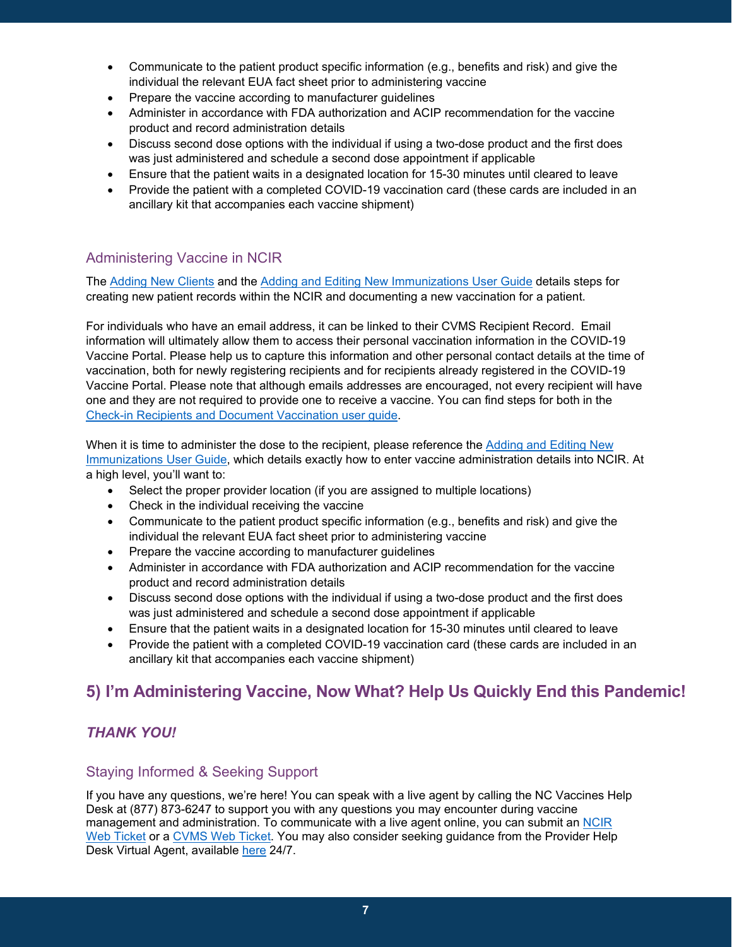- Communicate to the patient product specific information (e.g., benefits and risk) and give the individual the relevant EUA fact sheet prior to administering vaccine
- Prepare the vaccine according to manufacturer guidelines
- Administer in accordance with FDA authorization and ACIP recommendation for the vaccine product and record administration details
- Discuss second dose options with the individual if using a two-dose product and the first does was just administered and schedule a second dose appointment if applicable
- Ensure that the patient waits in a designated location for 15-30 minutes until cleared to leave
- Provide the patient with a completed COVID-19 vaccination card (these cards are included in an ancillary kit that accompanies each vaccine shipment)

# Administering Vaccine in NCIR

The [Adding New Clients](https://covid19.ncdhhs.gov/media/3575/download?attachment) and the [Adding and Editing New Immunizations User Guide](https://covid19.ncdhhs.gov/adding-and-editing-new-immunizations/download?attachment) details steps for creating new patient records within the NCIR and documenting a new vaccination for a patient.

For individuals who have an email address, it can be linked to their CVMS Recipient Record. Email information will ultimately allow them to access their personal vaccination information in the COVID-19 Vaccine Portal. Please help us to capture this information and other personal contact details at the time of vaccination, both for newly registering recipients and for recipients already registered in the COVID-19 Vaccine Portal. Please note that although emails addresses are encouraged, not every recipient will have one and they are not required to provide one to receive a vaccine. You can find steps for both in the [Check-in Recipients and Document Vaccination user guide.](https://covid19.ncdhhs.gov/media/3307/download?attachment)

When it is time to administer the dose to the recipient, please reference the [Adding and Editing New](https://covid19.ncdhhs.gov/adding-and-editing-new-immunizations/download?attachment)  [Immunizations User Guide,](https://covid19.ncdhhs.gov/adding-and-editing-new-immunizations/download?attachment) which details exactly how to enter vaccine administration details into NCIR. At a high level, you'll want to:

- Select the proper provider location (if you are assigned to multiple locations)
- Check in the individual receiving the vaccine
- Communicate to the patient product specific information (e.g., benefits and risk) and give the individual the relevant EUA fact sheet prior to administering vaccine
- Prepare the vaccine according to manufacturer guidelines
- Administer in accordance with FDA authorization and ACIP recommendation for the vaccine product and record administration details
- Discuss second dose options with the individual if using a two-dose product and the first does was just administered and schedule a second dose appointment if applicable
- Ensure that the patient waits in a designated location for 15-30 minutes until cleared to leave
- Provide the patient with a completed COVID-19 vaccination card (these cards are included in an ancillary kit that accompanies each vaccine shipment)

# **5) I'm Administering Vaccine, Now What? Help Us Quickly End this Pandemic!**

# *THANK YOU!*

### Staying Informed & Seeking Support

If you have any questions, we're here! You can speak with a live agent by calling the NC Vaccines Help Desk at (877) 873-6247 to support you with any questions you may encounter during vaccine management and administration. To communicate with a live agent online, you can submit an NCIR [Web Ticket](https://ncgov.servicenowservices.com/csm_vaccine?id=immunizations&sys_id=69f035b11b037c9099510f6fe54bcbee) or a [CVMS Web Ticket.](https://ncgov.servicenowservices.com/csm_vaccine) You may also consider seeking guidance from the Provider Help Desk Virtual Agent, available [here](https://ncgov.servicenowservices.com/csm_vaccine) 24/7.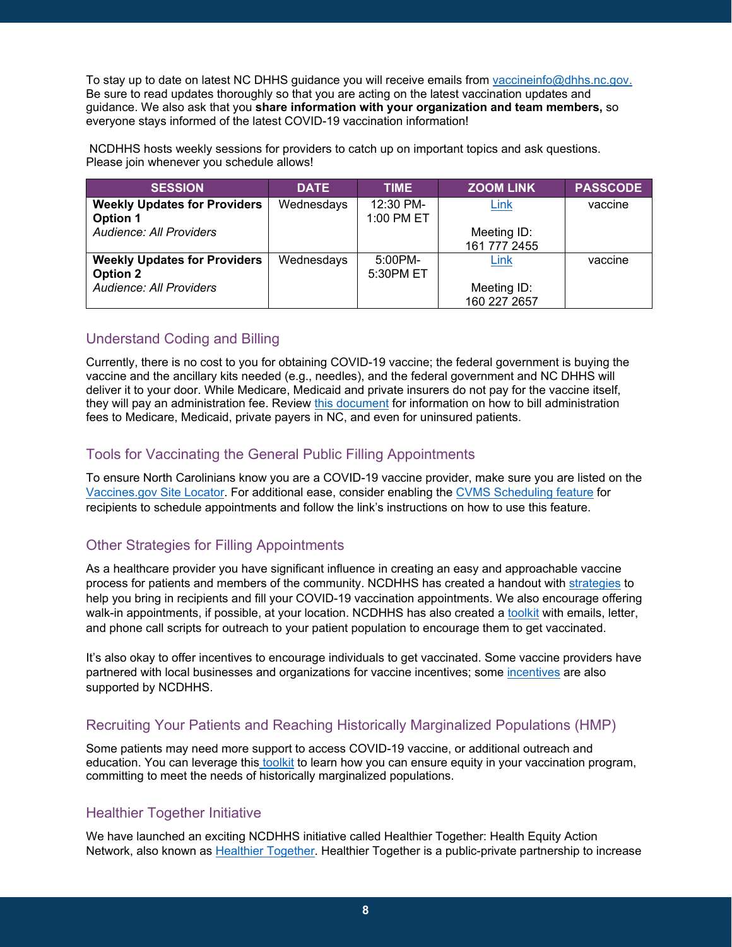To stay up to date on latest NC DHHS guidance you will receive emails from [vaccineinfo@dhhs.nc.gov.](mailto:vaccineinfo@dhhs.nc.gov) Be sure to read updates thoroughly so that you are acting on the latest vaccination updates and guidance. We also ask that you **share information with your organization and team members,** so everyone stays informed of the latest COVID-19 vaccination information!

NCDHHS hosts weekly sessions for providers to catch up on important topics and ask questions. Please join whenever you schedule allows!

| <b>SESSION</b>                                         | <b>DATE</b> | <b>TIME</b>             | <b>ZOOM LINK</b>            | <b>PASSCODE</b> |
|--------------------------------------------------------|-------------|-------------------------|-----------------------------|-----------------|
| <b>Weekly Updates for Providers</b><br><b>Option 1</b> | Wednesdays  | 12:30 PM-<br>1:00 PM ET | Link                        | vaccine         |
| <b>Audience: All Providers</b>                         |             |                         | Meeting ID:<br>161 777 2455 |                 |
| <b>Weekly Updates for Providers</b><br><b>Option 2</b> | Wednesdays  | $5:00PM-$<br>5:30PM ET  | Link                        | vaccine         |
| <b>Audience: All Providers</b>                         |             |                         | Meeting ID:<br>160 227 2657 |                 |

# Understand Coding and Billing

Currently, there is no cost to you for obtaining COVID-19 vaccine; the federal government is buying the vaccine and the ancillary kits needed (e.g., needles), and the federal government and NC DHHS will deliver it to your door. While Medicare, Medicaid and private insurers do not pay for the vaccine itself, they will pay an administration fee. Review [this document](https://covid19.ncdhhs.gov/media/3139/open) for information on how to bill administration fees to Medicare, Medicaid, private payers in NC, and even for uninsured patients.

# Tools for Vaccinating the General Public Filling Appointments

To ensure North Carolinians know you are a COVID-19 vaccine provider, make sure you are listed on the [Vaccines.gov Site Locator.](https://covid19.ncdhhs.gov/cvms-display-vaccine-site-locator-one-pager/download?attachment) For additional ease, consider enabling the [CVMS Scheduling feature](https://covid19.ncdhhs.gov/addendum-scheduling-feature-point-care-and-vaccine-administration-user-guide/download?attachment) for recipients to schedule appointments and follow the link's instructions on how to use this feature.

# Other Strategies for Filling Appointments

As a healthcare provider you have significant influence in creating an easy and approachable vaccine process for patients and members of the community. NCDHHS has created a handout with [strategies](https://covid19.ncdhhs.gov/media/2491/open) to help you bring in recipients and fill your COVID-19 vaccination appointments. We also encourage offering walk-in appointments, if possible, at your location. NCDHHS has also created a [toolkit](https://thesocialpresskit.com/you-have-a-spot-take-your-shot#bring-summer-back-partner-toolkit--doctor-toolkit) with emails, letter, and phone call scripts for outreach to your patient population to encourage them to get vaccinated.

It's also okay to offer incentives to encourage individuals to get vaccinated. Some vaccine providers have partnered with local businesses and organizations for vaccine incentives; some [incentives](https://covid19.ncdhhs.gov/vaccines/covid-19-vaccine-incentives) are also supported by NCDHHS.

# Recruiting Your Patients and Reaching Historically Marginalized Populations (HMP)

Some patients may need more support to access COVID-19 vaccine, or additional outreach and education. You can leverage this [toolkit](https://covid19.ncdhhs.gov/media/2393/open) to learn how you can ensure equity in your vaccination program, committing to meet the needs of historically marginalized populations.

# Healthier Together Initiative

We have launched an exciting NCDHHS initiative called Healthier Together: Health Equity Action Network, also known as [Healthier Together.](https://covid19.ncdhhs.gov/vaccines/nc-vaccine-strategy/healthier-together-health-equity-action-network) Healthier Together is a public-private partnership to increase